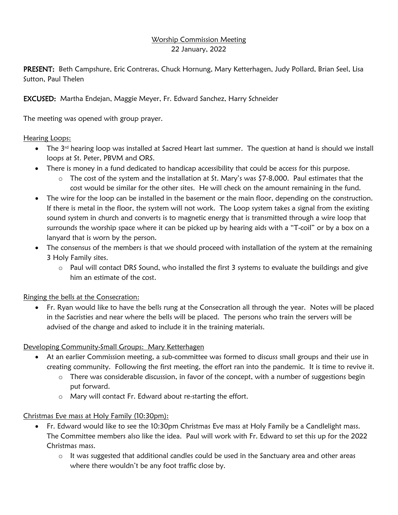## Worship Commission Meeting 22 January, 2022

PRESENT: Beth Campshure, Eric Contreras, Chuck Hornung, Mary Ketterhagen, Judy Pollard, Brian Seel, Lisa Sutton, Paul Thelen

EXCUSED: Martha Endejan, Maggie Meyer, Fr. Edward Sanchez, Harry Schneider

The meeting was opened with group prayer.

Hearing Loops:

- The 3<sup>rd</sup> hearing loop was installed at Sacred Heart last summer. The question at hand is should we install loops at St. Peter, PBVM and ORS.
- There is money in a fund dedicated to handicap accessibility that could be access for this purpose.
	- $\circ$  The cost of the system and the installation at St. Mary's was \$7-8,000. Paul estimates that the cost would be similar for the other sites. He will check on the amount remaining in the fund.
- The wire for the loop can be installed in the basement or the main floor, depending on the construction. If there is metal in the floor, the system will not work. The Loop system takes a signal from the existing sound system in church and converts is to magnetic energy that is transmitted through a wire loop that surrounds the worship space where it can be picked up by hearing aids with a "T-coil" or by a box on a lanyard that is worn by the person.
- The consensus of the members is that we should proceed with installation of the system at the remaining 3 Holy Family sites.
	- o Paul will contact DRS Sound, who installed the first 3 systems to evaluate the buildings and give him an estimate of the cost.

Ringing the bells at the Consecration:

• Fr. Ryan would like to have the bells rung at the Consecration all through the year. Notes will be placed in the Sacristies and near where the bells will be placed. The persons who train the servers will be advised of the change and asked to include it in the training materials.

Developing Community-Small Groups: Mary Ketterhagen

- At an earlier Commission meeting, a sub-committee was formed to discuss small groups and their use in creating community. Following the first meeting, the effort ran into the pandemic. It is time to revive it.
	- o There was considerable discussion, in favor of the concept, with a number of suggestions begin put forward.
	- o Mary will contact Fr. Edward about re-starting the effort.

Christmas Eve mass at Holy Family (10:30pm):

- Fr. Edward would like to see the 10:30pm Christmas Eve mass at Holy Family be a Candlelight mass. The Committee members also like the idea. Paul will work with Fr. Edward to set this up for the 2022 Christmas mass.
	- $\circ$  It was suggested that additional candles could be used in the Sanctuary area and other areas where there wouldn't be any foot traffic close by.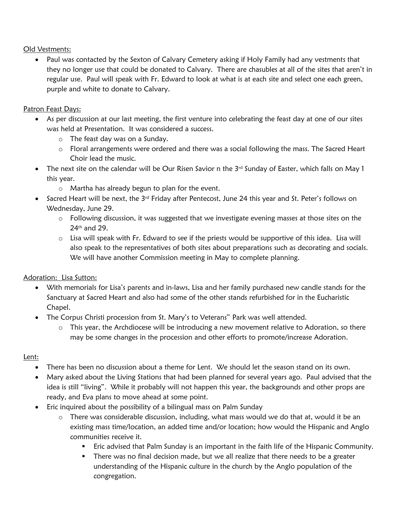Old Vestments:

• Paul was contacted by the Sexton of Calvary Cemetery asking if Holy Family had any vestments that they no longer use that could be donated to Calvary. There are chasubles at all of the sites that aren't in regular use. Paul will speak with Fr. Edward to look at what is at each site and select one each green, purple and white to donate to Calvary.

## Patron Feast Days:

- As per discussion at our last meeting, the first venture into celebrating the feast day at one of our sites was held at Presentation. It was considered a success.
	- o The feast day was on a Sunday.
	- o Floral arrangements were ordered and there was a social following the mass. The Sacred Heart Choir lead the music.
- The next site on the calendar will be Our Risen Savior n the  $3<sup>rd</sup>$  Sunday of Easter, which falls on May 1 this year.
	- o Martha has already begun to plan for the event.
- Sacred Heart will be next, the  $3^{rd}$  Friday after Pentecost, June 24 this year and St. Peter's follows on Wednesday, June 29.
	- $\circ$  Following discussion, it was suggested that we investigate evening masses at those sites on the 24th and 29.
	- $\circ$  Lisa will speak with Fr. Edward to see if the priests would be supportive of this idea. Lisa will also speak to the representatives of both sites about preparations such as decorating and socials. We will have another Commission meeting in May to complete planning.

## Adoration: Lisa Sutton:

- With memorials for Lisa's parents and in-laws, Lisa and her family purchased new candle stands for the Sanctuary at Sacred Heart and also had some of the other stands refurbished for in the Eucharistic Chapel.
- The Corpus Christi procession from St. Mary's to Veterans" Park was well attended.
	- $\circ$  This year, the Archdiocese will be introducing a new movement relative to Adoration, so there may be some changes in the procession and other efforts to promote/increase Adoration.

## Lent:

- There has been no discussion about a theme for Lent. We should let the season stand on its own.
- Mary asked about the Living Stations that had been planned for several years ago. Paul advised that the idea is still "living". While it probably will not happen this year, the backgrounds and other props are ready, and Eva plans to move ahead at some point.
- Eric inquired about the possibility of a bilingual mass on Palm Sunday
	- $\circ$  There was considerable discussion, including, what mass would we do that at, would it be an existing mass time/location, an added time and/or location; how would the Hispanic and Anglo communities receive it.
		- Eric advised that Palm Sunday is an important in the faith life of the Hispanic Community.
		- There was no final decision made, but we all realize that there needs to be a greater understanding of the Hispanic culture in the church by the Anglo population of the congregation.